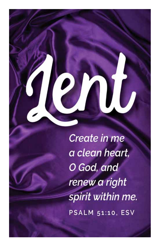

Create in me a clean heart, O God, and renew a right spirit within me. **PSALM 51:10, ESV**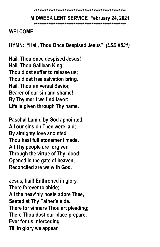# **MIDWEEK LENT SERVICE February 24, 2021**

#### **\*\*\*\*\*\*\*\*\*\*\*\*\*\*\*\*\*\*\*\*\*\*\*\*\*\*\*\*\*\*\*\*\*\*\*\*\*\*\*\*\*\*\*\*\*\*\*\*\*\*\***

# **WELCOME**

**HYMN: "Hail, Thou Once Despised Jesus"** *(LSB #531)*

**Hail, Thou once despised Jesus! Hail, Thou Galilean King! Thou didst suffer to release us; Thou didst free salvation bring. Hail, Thou universal Savior, Bearer of our sin and shame! By Thy merit we find favor: Life is given through Thy name.**

**Paschal Lamb, by God appointed, All our sins on Thee were laid; By almighty love anointed, Thou hast full atonement made. All Thy people are forgiven Through the virtue of Thy blood; Opened is the gate of heaven, Reconciled are we with God.**

**Jesus, hail! Enthroned in glory, There forever to abide; All the heav'nly hosts adore Thee, Seated at Thy Father's side. There for sinners Thou art pleading; There Thou dost our place prepare, Ever for us interceding Till in glory we appear.**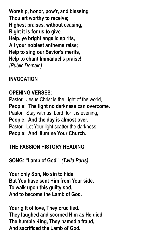**Worship, honor, pow'r, and blessing Thou art worthy to receive; Highest praises, without ceasing, Right it is for us to give. Help, ye bright angelic spirits, All your noblest anthems raise; Help to sing our Savior's merits, Help to chant Immanuel's praise!** *(Public Domain)*

# **INVOCATION**

# **OPENING VERSES:**

Pastor: Jesus Christ is the Light of the world, **People: The light no darkness can overcome.** Pastor: Stay with us, Lord, for it is evening, **People: And the day is almost over.** Pastor: Let Your light scatter the darkness **People: And illumine Your Church.** 

# **THE PASSION HISTORY READING**

**SONG: "Lamb of God"** *(Twila Paris)*

**Your only Son, No sin to hide. But You have sent Him from Your side. To walk upon this guilty sod, And to become the Lamb of God.**

**Your gift of love, They crucified. They laughed and scorned Him as He died. The humble King, They named a fraud, And sacrificed the Lamb of God.**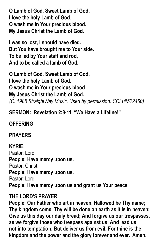**O Lamb of God, Sweet Lamb of God. I love the holy Lamb of God. O wash me in Your precious blood. My Jesus Christ the Lamb of God.**

**I was so lost, I should have died. But You have brought me to Your side. To be led by Your staff and rod, And to be called a lamb of God.** 

**O Lamb of God, Sweet Lamb of God. I love the holy Lamb of God. O wash me in Your precious blood. My Jesus Christ the Lamb of God.** *(C. 1985 StraightWay Music. Used by permission. CCLI #522460)*

# **SERMON: Revelation 2:8-11 "We Have a Lifeline!"**

**OFFERING** 

**PRAYERS**

**KYRIE:** Pastor: Lord, **People: Have mercy upon us.** Pastor: Christ, **People: Have mercy upon us.**  Pastor: Lord, **People: Have mercy upon us and grant us Your peace.** 

#### **THE LORD'S PRAYER**

**People: Our Father who art in heaven, Hallowed be Thy name; Thy kingdom come; Thy will be done on earth as it is in heaven; Give us this day our daily bread; And forgive us our trespasses, as we forgive those who trespass against us; And lead us not into temptation; But deliver us from evil; For thine is the kingdom and the power and the glory forever and ever. Amen.**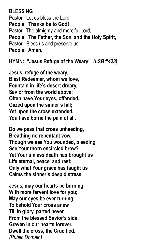#### **BLESSING**

Pastor: Let us bless the Lord. **People: Thanks be to God!** Pastor: The almighty and merciful Lord, **People: The Father, the Son, and the Holy Spirit,** Pastor: Bless us and preserve us. **People: Amen.** 

**HYMN: "Jesus Refuge of the Weary"** *(LSB #423)*

**Jesus, refuge of the weary, Blest Redeemer, whom we love, Fountain in life's desert dreary, Savior from the world above: Often have Your eyes, offended, Gazed upon the sinner's fall; Yet upon the cross extended, You have borne the pain of all.**

**Do we pass that cross unheeding, Breathing no repentant vow, Though we see You wounded, bleeding, See Your thorn encircled brow? Yet Your sinless death has brought us Life eternal, peace, and rest; Only what Your grace has taught us Calms the sinner's deep distress.**

**Jesus, may our hearts be burning With more fervent love for you; May our eyes be ever turning To behold Your cross anew Till in glory, parted never From the blessed Savior's side, Graven in our hearts forever, Dwell the cross, the Crucified.** *(Public Domain)*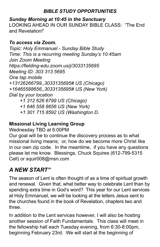#### *BIBLE STUDY OPPORTUNITIES*

#### *Sunday Morning at 10:45 in the Sanctuary*

LOOKING AHEAD IN OUR SUNDAY BIBLE CLASS: "The End and Revelation!"

#### *To access via Zoom.*

*Topic: Holy Emmanuel - Sunday Bible Study Time: This is a recurring meeting Sunday's 10:45am Join Zoom Meeting https://fielding-edu.zoom.us/j/3033135695 Meeting ID: 303 313 5695 One tap mobile +13126266799,,3033135695# US (Chicago) +16465588656,,3033135695# US (New York) Dial by your location +1 312 626 6799 US (Chicago) +1 646 558 8656 US (New York) +1 301 715 8592 US (Washington D.*

#### **Missional Living Learning Group**

Wednesday TBD at 6:00PM

Our goal will be to continue the discovery process as to what missional living means; or, how do we become more Christ like in our own zip code. In the meantime, if you have any questions please let me know. Blessings, Chuck Squires (612-799-5315 Cell) or squir008@msn.com

# *A NEW START"*

The season of Lent is often thought of as a time of spiritual growth and renewal. Given that, what better way to celebrate Lent than by spending extra time in God's word? This year for our Lent services at Holy Emmanuel, we will be looking at the letters Jesus sent to the churches found in the book of Revelation, chapters two and three.

In addition to the Lent services however, I will also be hosting another session of Faith Fundamentals. This class will meet in the fellowship hall each Tuesday evening, from 6:30-8:00pm, beginning February 23rd. We will start at the beginning of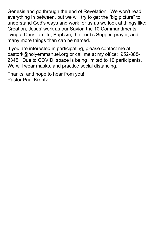Genesis and go through the end of Revelation. We won't read everything in between, but we will try to get the "big picture" to understand God's ways and work for us as we look at things like: Creation, Jesus' work as our Savior, the 10 Commandments, living a Christian life, Baptism, the Lord's Supper, prayer, and many more things than can be named.

If you are interested in participating, please contact me at pastork@holyemmanuel.org or call me at my office; 952-888- 2345. Due to COVID, space is being limited to 10 participants. We will wear masks, and practice social distancing.

Thanks, and hope to hear from you! Pastor Paul Krentz